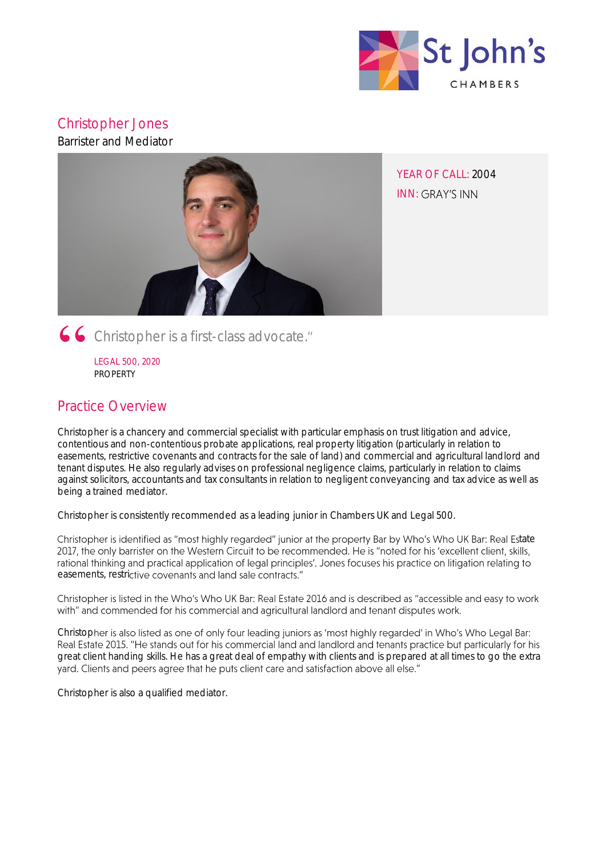

# Christopher Jones

Barrister and Mediator



YEAR OF CALL: 2004 **INN: GRAY'S INN** 

Christopher is a first-class advocate.

LEGAL 500, 2020 PROPERTY

# Practice Overview

Christopher is a chancery and commercial specialist with particular emphasis on trust litigation and advice, contentious and non-contentious probate applications, real property litigation (particularly in relation to easements, restrictive covenants and contracts for the sale of land) and commercial and agricultural landlord and tenant disputes. He also regularly advises on professional negligence claims, particularly in relation to claims against solicitors, accountants and tax consultants in relation to negligent conveyancing and tax advice as well as being a trained mediator.

Christopher is consistently recommended as a leading junior in Chambers UK and Legal 500.

Christopher is identified as "most highly regarded" junior at the property Bar by Who's Who UK Bar: Real Estate 2017, the only barrister on the Western Circuit to be recommended. He is "noted for his 'excellent client, skills, rational thinking and practical application of legal principles'. Jones focuses his practice on litigation relating to easements, restrictive covenants and land sale contracts."

Christopher is listed in the Who's Who UK Bar: Real Estate 2016 and is described as "accessible and easy to work with" and commended for his commercial and agricultural landlord and tenant disputes work.

Christopher is also listed as one of only four leading juniors as 'most highly regarded' in Who's Who Legal Bar: Real Estate 2015. "He stands out for his commercial land and landlord and tenants practice but particularly for his great client handing skills. He has a great deal of empathy with clients and is prepared at all times to go the extra yard. Clients and peers agree that he puts client care and satisfaction above all else."

Christopher is also a qualified mediator.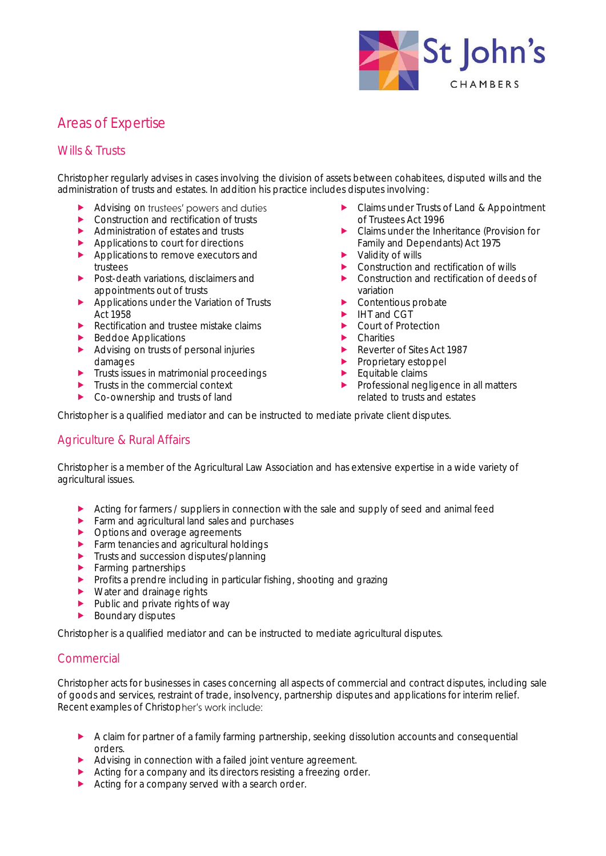

# Areas of Expertise

## Wills & Trusts

Christopher regularly advises in cases involving the division of assets between cohabitees, disputed wills and the administration of trusts and estates. In addition his practice includes disputes involving:

- Advising on trustees' powers and duties
- ▶ Construction and rectification of trusts
- Administration of estates and trusts
- $\blacktriangleright$  Applications to court for directions
- Applications to remove executors and trustees
- Post-death variations, disclaimers and appointments out of trusts
- Applications under the Variation of Trusts Act 1958
- Rectification and trustee mistake claims
- Beddoe Applications
- Advising on trusts of personal injuries damages
- $\blacktriangleright$  Trusts issues in matrimonial proceedings
- $\blacktriangleright$  Trusts in the commercial context
- Co-ownership and trusts of land
- ▶ Claims under Trusts of Land & Appointment of Trustees Act 1996
- ▶ Claims under the Inheritance (Provision for Family and Dependants) Act 1975
- $\blacktriangleright$  Validity of wills
- ▶ Construction and rectification of wills
- **EX Construction and rectification of deeds of** variation
- **Contentious probate**
- $\blacktriangleright$  IHT and CGT
- ▶ Court of Protection
- **E** Charities
- Reverter of Sites Act 1987
- **Proprietary estoppel**
- $\blacktriangleright$  Equitable claims
- **Professional negligence in all matters** related to trusts and estates

Christopher is a qualified mediator and can be instructed to mediate private client disputes.

## Agriculture & Rural Affairs

Christopher is a member of the Agricultural Law Association and has extensive expertise in a wide variety of agricultural issues.

- Acting for farmers / suppliers in connection with the sale and supply of seed and animal feed
- $\blacktriangleright$  Farm and agricultural land sales and purchases
- ▶ Options and overage agreements
- **Farm tenancies and agricultural holdings**
- **Trusts and succession disputes/planning**
- **Farming partnerships**
- **Profits a prendre including in particular fishing, shooting and grazing**
- ▶ Water and drainage rights
- $\blacktriangleright$  Public and private rights of way
- Boundary disputes

Christopher is a qualified mediator and can be instructed to mediate agricultural disputes.

## Commercial

Christopher acts for businesses in cases concerning all aspects of commercial and contract disputes, including sale of goods and services, restraint of trade, insolvency, partnership disputes and applications for interim relief. Recent examples of Christopher's work include:

- A claim for partner of a family farming partnership, seeking dissolution accounts and consequential orders.
- Advising in connection with a failed joint venture agreement.
- Acting for a company and its directors resisting a freezing order.
- Acting for a company served with a search order.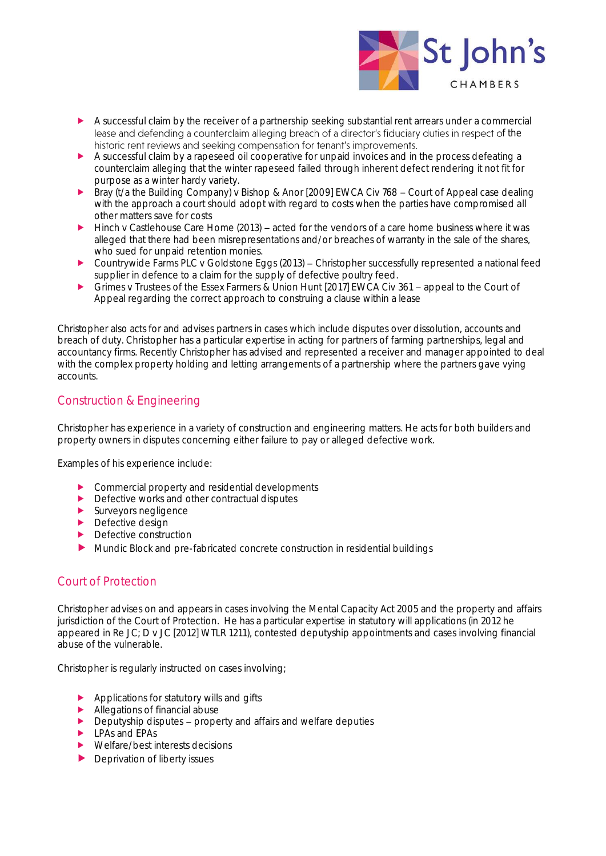

- A successful claim by the receiver of a partnership seeking substantial rent arrears under a commercial lease and defending a counterclaim alleging breach of a director's fiduciary duties in respect of the historic rent reviews and seeking compensation for tenant's improvements.
- A successful claim by a rapeseed oil cooperative for unpaid invoices and in the process defeating a counterclaim alleging that the winter rapeseed failed through inherent defect rendering it not fit for purpose as a winter hardy variety.
- Bray (t/a the Building Company) v Bishop & Anor [2009] EWCA Civ 768 Court of Appeal case dealing with the approach a court should adopt with regard to costs when the parties have compromised all other matters save for costs
- Hinch v Castlehouse Care Home (2013) acted for the vendors of a care home business where it was alleged that there had been misrepresentations and/or breaches of warranty in the sale of the shares, who sued for unpaid retention monies.
- $\triangleright$  Countrywide Farms PLC v Goldstone Eggs (2013) Christopher successfully represented a national feed supplier in defence to a claim for the supply of defective poultry feed.
- ▶ Grimes v Trustees of the Essex Farmers & Union Hunt [2017] EWCA Civ 361 appeal to the Court of Appeal regarding the correct approach to construing a clause within a lease

Christopher also acts for and advises partners in cases which include disputes over dissolution, accounts and breach of duty. Christopher has a particular expertise in acting for partners of farming partnerships, legal and accountancy firms. Recently Christopher has advised and represented a receiver and manager appointed to deal with the complex property holding and letting arrangements of a partnership where the partners gave vying accounts.

## Construction & Engineering

Christopher has experience in a variety of construction and engineering matters. He acts for both builders and property owners in disputes concerning either failure to pay or alleged defective work.

Examples of his experience include:

- ▶ Commercial property and residential developments
- ▶ Defective works and other contractual disputes
- $\blacktriangleright$  Surveyors negligence
- **Defective design**
- $\blacktriangleright$  Defective construction
- Mundic Block and pre-fabricated concrete construction in residential buildings

## Court of Protection

Christopher advises on and appears in cases involving the Mental Capacity Act 2005 and the property and affairs jurisdiction of the Court of Protection. He has a particular expertise in statutory will applications (in 2012 he appeared in Re JC; D v JC [2012] WTLR 1211), contested deputyship appointments and cases involving financial abuse of the vulnerable.

Christopher is regularly instructed on cases involving;

- Applications for statutory wills and gifts
- Allegations of financial abuse
- $\triangleright$  Deputyship disputes property and affairs and welfare deputies
- **LPAs and EPAs**
- Welfare/best interests decisions
- Deprivation of liberty issues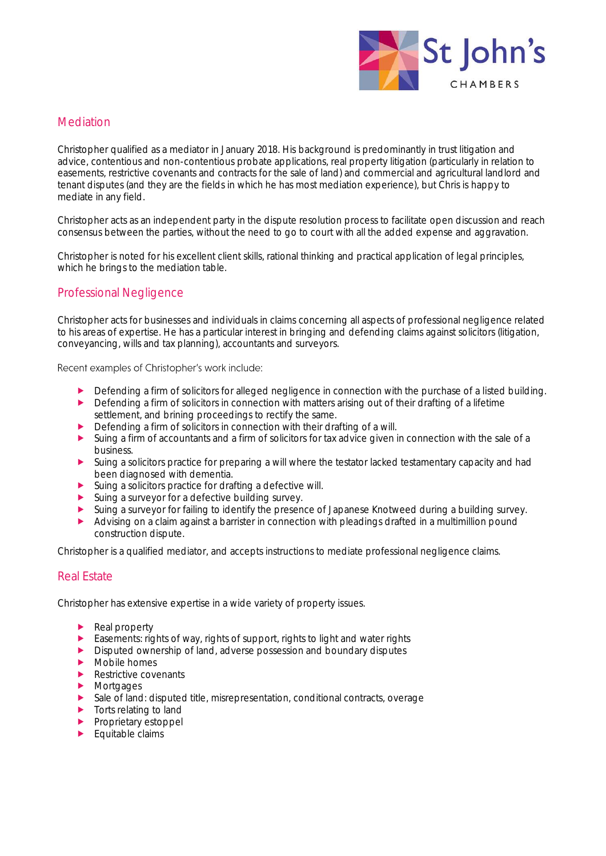

### **Mediation**

Christopher qualified as a mediator in January 2018. His background is predominantly in trust litigation and advice, contentious and non-contentious probate applications, real property litigation (particularly in relation to easements, restrictive covenants and contracts for the sale of land) and commercial and agricultural landlord and tenant disputes (and they are the fields in which he has most mediation experience), but Chris is happy to mediate in any field.

Christopher acts as an independent party in the dispute resolution process to facilitate open discussion and reach consensus between the parties, without the need to go to court with all the added expense and aggravation.

Christopher is noted for his excellent client skills, rational thinking and practical application of legal principles, which he brings to the mediation table.

## Professional Negligence

Christopher acts for businesses and individuals in claims concerning all aspects of professional negligence related to his areas of expertise. He has a particular interest in bringing and defending claims against solicitors (litigation, conveyancing, wills and tax planning), accountants and surveyors.

Recent examples of Christopher's work include:

- Defending a firm of solicitors for alleged negligence in connection with the purchase of a listed building.
- **Defending a firm of solicitors in connection with matters arising out of their drafting of a lifetime** settlement, and brining proceedings to rectify the same.
- Defending a firm of solicitors in connection with their drafting of a will.<br>
Suing a firm of accountants and a firm of solicitors for tax advice given i
- Suing a firm of accountants and a firm of solicitors for tax advice given in connection with the sale of a business.
- Suing a solicitors practice for preparing a will where the testator lacked testamentary capacity and had been diagnosed with dementia.
- Suing a solicitors practice for drafting a defective will.
- Suing a surveyor for a defective building survey.
- Suing a surveyor for failing to identify the presence of Japanese Knotweed during a building survey.
- Advising on a claim against a barrister in connection with pleadings drafted in a multimillion pound construction dispute.

Christopher is a qualified mediator, and accepts instructions to mediate professional negligence claims.

#### Real Estate

Christopher has extensive expertise in a wide variety of property issues.

- Real property
- Easements: rights of way, rights of support, rights to light and water rights
- Disputed ownership of land, adverse possession and boundary disputes
- $\blacktriangleright$  Mobile homes
- Restrictive covenants
- **Mortgages**
- Sale of land: disputed title, misrepresentation, conditional contracts, overage
- $\blacktriangleright$  Torts relating to land
- Proprietary estoppel
- $\blacktriangleright$  Equitable claims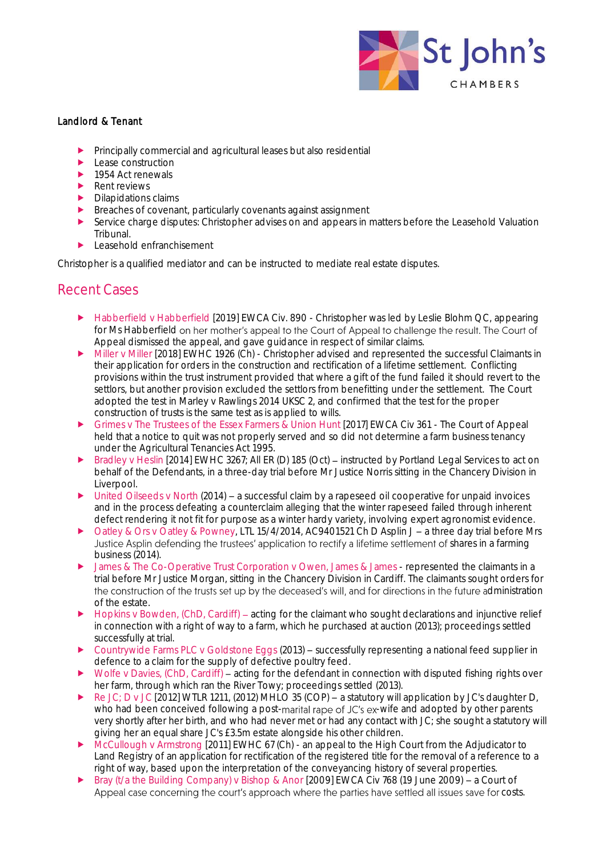

#### Landlord & Tenant

- Principally commercial and agricultural leases but also residential
- **Lease construction**
- $\blacktriangleright$  1954 Act renewals
- Rent reviews
- $\blacktriangleright$  Dilapidations claims
- **Breaches of covenant, particularly covenants against assignment**
- Service charge disputes: Christopher advises on and appears in matters before the Leasehold Valuation Tribunal.
- Leasehold enfranchisement

Christopher is a qualified mediator and can be instructed to mediate real estate disputes.

## Recent Cases

- ▶ Habberfield v Habberfield [2019] EWCA Civ. 890 Christopher was led by Leslie Blohm QC, appearing for Ms Habberfield on her mother's appeal to the Court of Appeal to challenge the result. The Court of Appeal dismissed the appeal, and gave guidance in respect of similar claims.
- Miller v Miller [2018] EWHC 1926 (Ch) Christopher advised and represented the successful Claimants in their application for orders in the construction and rectification of a lifetime settlement. Conflicting provisions within the trust instrument provided that where a gift of the fund failed it should revert to the settlors, but another provision excluded the settlors from benefitting under the settlement. The Court adopted the test in Marley v Rawlings 2014 UKSC 2, and confirmed that the test for the proper construction of trusts is the same test as is applied to wills.
- Grimes v The Trustees of the Essex Farmers & Union Hunt [2017] EWCA Civ 361 The Court of Appeal held that a notice to quit was not properly served and so did not determine a farm business tenancy under the Agricultural Tenancies Act 1995.
- Bradley v Heslin [2014] EWHC 3267; All ER (D) 185 (Oct) instructed by Portland Legal Services to act on behalf of the Defendants, in a three-day trial before Mr Justice Norris sitting in the Chancery Division in Liverpool.
- United Oilseeds v North (2014) a successful claim by a rapeseed oil cooperative for unpaid invoices and in the process defeating a counterclaim alleging that the winter rapeseed failed through inherent defect rendering it not fit for purpose as a winter hardy variety, involving expert agronomist evidence.
- Oatley & Ors v Oatley & Powney, LTL 15/4/2014, AC9401521 Ch D Asplin J a three day trial before Mrs Justice Asplin defending the trustees' application to rectify a lifetime settlement of shares in a farming business (2014).
- ▶ James & The Co-Operative Trust Corporation v Owen, James & James represented the claimants in a trial before Mr Justice Morgan, sitting in the Chancery Division in Cardiff. The claimants sought orders for the construction of the trusts set up by the deceased's will, and for directions in the future administration of the estate.
- Hopkins v Bowden, (ChD, Cardiff) acting for the claimant who sought declarations and injunctive relief in connection with a right of way to a farm, which he purchased at auction (2013); proceedings settled successfully at trial.
- Countrywide Farms PLC v Goldstone Eggs (2013) successfully representing a national feed supplier in defence to a claim for the supply of defective poultry feed.
- Wolfe v Davies, (ChD, Cardiff) acting for the defendant in connection with disputed fishing rights over her farm, through which ran the River Towy; proceedings settled (2013).
- Re JC; D v JC [2012] WTLR 1211, (2012) MHLO 35 (COP)  $-$  a statutory will application by JC's daughter D, who had been conceived following a post-marital rape of JC's ex-wife and adopted by other parents very shortly after her birth, and who had never met or had any contact with JC; she sought a statutory will giving her an equal share JC's £3.5m estate alongside his other children.
- McCullough v Armstrong [2011] EWHC 67 (Ch) an appeal to the High Court from the Adjudicator to Land Registry of an application for rectification of the registered title for the removal of a reference to a right of way, based upon the interpretation of the conveyancing history of several properties.
- Bray (t/a the Building Company) v Bishop & Anor [2009] EWCA Civ 768 (19 June 2009) a Court of Appeal case concerning the court's approach where the parties have settled all issues save for costs.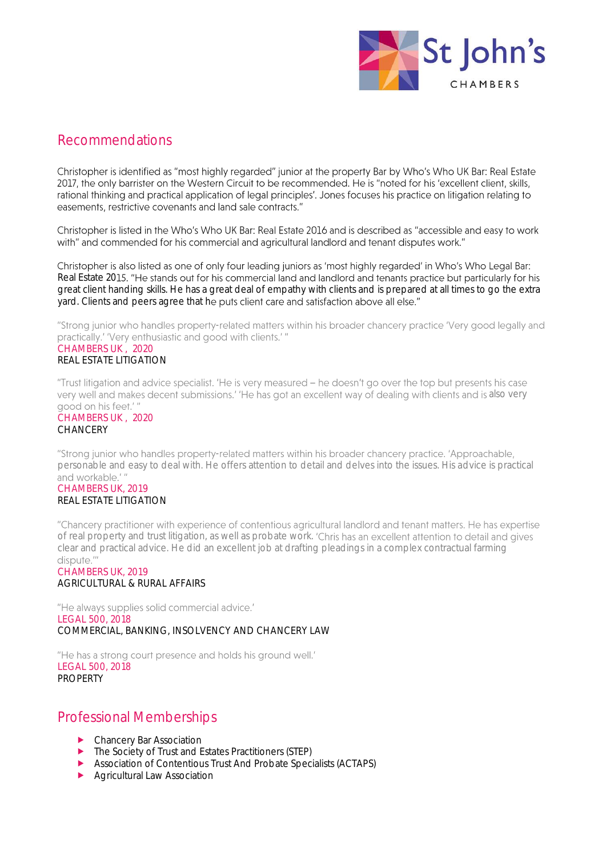

## Recommendations

Christopher is identified as "most highly regarded" junior at the property Bar by Who's Who UK Bar: Real Estate 2017, the only barrister on the Western Circuit to be recommended. He is "noted for his 'excellent client, skills, rational thinking and practical application of legal principles'. Jones focuses his practice on litigation relating to easements, restrictive covenants and land sale contracts."

Christopher is listed in the Who's Who UK Bar: Real Estate 2016 and is described as "accessible and easy to work with" and commended for his commercial and agricultural landlord and tenant disputes work."

Christopher is also listed as one of only four leading juniors as 'most highly regarded' in Who's Who Legal Bar: Real Estate 2015. "He stands out for his commercial land and landlord and tenants practice but particularly for his great client handing skills. He has a great deal of empathy with clients and is prepared at all times to go the extra yard. Clients and peers agree that he puts client care and satisfaction above all else."

"Strong junior who handles property-related matters within his broader chancery practice 'Very good legally and practically.' 'Very enthusiastic and good with clients.' " CHAMBERS UK , 2020 REAL ESTATE LITIGATION

"Trust litigation and advice specialist. 'He is very measured - he doesn't go over the top but presents his case very well and makes decent submissions.' 'He has got an excellent way of dealing with clients and is also very good on his feet.'"

#### CHAMBERS UK , 2020 **CHANCERY**

"Strona iunior who handles property-related matters within his broader chancery practice. 'Approachable, personable and easy to deal with. He offers attention to detail and delves into the issues. His advice is practical and workable<sup>'"</sup>

#### CHAMBERS UK, 2019 REAL ESTATE LITIGATION

"Chancery practitioner with experience of contentious agricultural landlord and tenant matters. He has expertise of real property and trust litigation, as well as probate work. clear and practical advice. He did an excellent job at drafting pleadings in a complex contractual farming dispute."

#### CHAMBERS UK, 2019 AGRICULTURAL & RURAL AFFAIRS

"He always supplies solid commercial advice." LEGAL 500, 2018 COMMERCIAL, BANKING, INSOLVENCY AND CHANCERY LAW

"He has a strong court presence and holds his ground well." LEGAL 500, 2018 PROPERTY

## Professional Memberships

- **Chancery Bar Association**
- ▶ The Society of Trust and Estates Practitioners (STEP)
- Association of Contentious Trust And Probate Specialists (ACTAPS)
- **Agricultural Law Association**